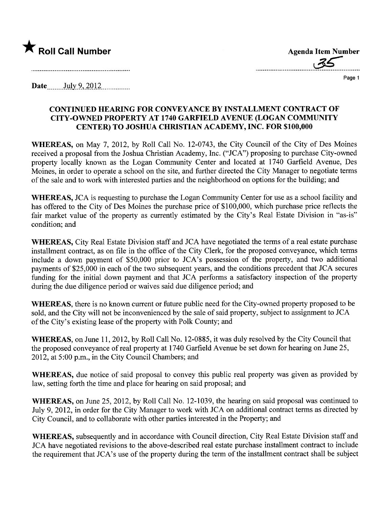

Agenda Item Number

Page 1

Date  $_{\text{July }9,2012}$ 

### CONTINUED HEARING FOR CONVEYANCE BY INSTALLMENT CONTRACT OF CITY-OWNED PROPERTY AT 1740 GARFIELD AVENUE (LOGAN COMMUNITY CENTER) TO JOSHUA CHRISTIAN ACADEMY, INC. FOR \$100,000

WHEREAS, on May 7, 2012, by Roll Call No. 12-0743, the City Council of the City of Des Moines received a proposal from the Joshua Christian Academy, Inc. ("JCA") proposing to purchase City-owned property locally known as the Logan Community Center and located at 1740 Garfield Avenue, Des Moines, in order to operate a school on the site, and further directed the City Manager to negotiate terms of the sale and to work with interested paries and the neighborhood on options for the building; and

WHEREAS, JCA is requesting to purchase the Logan Community Center for use as a school facility and has offered to the City of Des Moines the purchase price of \$100,000, which purchase price reflects the fair market value of the property as currently estimated by the City's Real Estate Division in "as-is" condition; and

WHEREAS, City Real Estate Division staff and JCA have negotiated the terms of a real estate purchase installment contract, as on file in the office of the City Clerk, for the proposed conveyance, which terms include a down payment of \$50,000 prior to JCA's possession of the property, and two additional payments of \$25,000 in each of the two subsequent years, and the conditions precedent that JCA secures funding for the initial down payment and that JCA performs a satisfactory inspection of the property during the due diligence period or waives said due diligence period; and

WHEREAS, there is no known current or future public need for the City-owned property proposed to be sold, and the City will not be inconvenienced by the sale of said property, subject to assignment to JCA of the City's existing lease of the property with Polk County; and

WHEREAS, on June 11,2012, by Roll Call No. 12-0885, it was duly resolved by the City Council that the proposed conveyance of real property at 1740 Garfield Avenue be set down for hearing on June 25, 2012, at 5:00 p.m., in the City Council Chambers; and

WHEREAS, due notice of said proposal to convey this public real property was given as provided by law, setting forth the time and place for hearing on said proposal; and

WHEREAS, on June 25, 2012, by Roll Call No. 12-1039, the hearing on said proposal was continued to July 9,2012, in order for the City Manager to work with JCA on additional contract terms as directed by City Council, and to collaborate with other paries interested in the Property; and

WHEREAS, subsequently and in accordance with Council direction, City Real Estate Division staff and JCA have negotiated revisions to the above-described real estate purchase installment contract to include the requirement that JCA's use of the property during the term of the installment contract shall be subject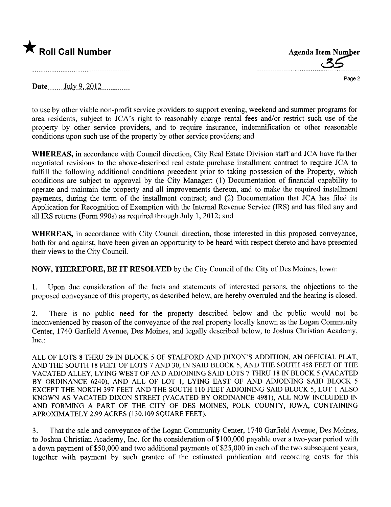

Page 2

Date $\frac{\text{July } 9,2012}{\text{July } 10,000}$ 

to use by other viable non-profit service providers to support evening, weekend and summer programs for area residents, subject to JCA's right to reasonably charge rental fees and/or restrict such use of the property by other service providers, and to require insurance, indemnification or other reasonable conditions upon such use of the property by other service providers; and

WHEREAS, in accordance with Council direction, City Real Estate Division staff and JCA have further negotiated revisions to the above-described real estate purchase installment contract to require JCA to fulfill the following additional conditions precedent prior to taking possession of the Property, which conditions are subject to approval by the City Manager: (1) Documentation of financial capability to operate and maintain the property and all improvements thereon, and to make the required installment payments, during the term of the installment contract; and (2) Documentation that JCA has fied its Application for Recognition of Exemption with the Internal Revenue Service (IRS) and has fied any and all IRS returns (Form 990s) as required through July 1,2012; and

WHEREAS, in accordance with City Council direction, those interested in this proposed conveyance, both for and against, have been given an opportunity to be heard with respect thereto and have presented their views to the City CounciL.

NOW, THEREFORE, BE IT RESOLVED by the City Council of the City of Des Moines, Iowa:

1. Upon due consideration of the facts and statements of interested persons, the objections to the proposed conveyance of this property, as described below, are hereby overruled and the hearing is closed.

2. There is no public need for the property described below and the public would not be inconvenienced by reason of the conveyance of the real property locally known as the Logan Community Center, 1740 Garfield Avenue, Des Moines, and legally described below, to Joshua Christian Academy, Inc.:

ALL OF LOTS 8 THRU 29 IN BLOCK 5 OF STALFORD AND DIXON'S ADDITION, AN OFFICIAL PLAT, AND THE SOUTH 18 FEET OF LOTS 7 AND 30, IN SAID BLOCK 5, AND THE SOUTH 458 FEET OF THE VACATED ALLEY, LYING WEST OF AND ADJOINING SAID LOTS 7 THRU 18 IN BLOCK 5 (VACATED BY ORDINANCE 6240), AND ALL OF LOT 1, LYING EAST OF AND ADJOINING SAID BLOCK 5 EXCEPT THE NORTH 397 FEET AND THE SOUTH 110 FEET ADJOINING SAID BLOCK 5, LOT 1 ALSO KNOWN AS VACATED DIXON STREET (VACATED BY ORDINANCE 4981), ALL NOW INCLUDED IN AND FORMING A PART OF THE CITY OF DES MOINES, POLK COUNTY, IOWA, CONTAINING APROXIMATELY 2.99 ACRES (130,109 SQUARE FEET).

3. That the sale and conveyance of the Logan Community Center, 1740 Garfield Avenue, Des Moines, to Joshua Christian Academy, Inc. for the consideration of \$100,000 payable over a two-year period with a down payment of \$50,000 and two additional payments of \$25,000 in each of the two subsequent years, together with payment by such grantee of the estimated publication and recording costs for this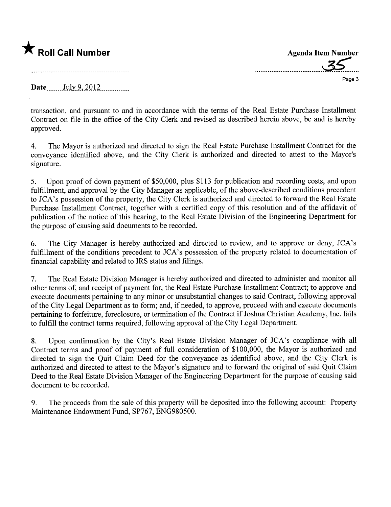

.....................................~s;....

Page 3

Date  $_{\text{July }9,2012}$ 

transaction, and pursuant to and in accordance with the terms of the Real Estate Purchase Installment Contract on file in the office of the City Clerk and revised as described herein above, be and is hereby approved.

4. The Mayor is authorized and directed to sign the Real Estate Purchase Installment Contract for the conveyance identified above, and the City Clerk is authorized and directed to attest to the Mayor's signature.

5. Upon proof of down payment of \$50,000, plus \$113 for publication and recording costs, and upon fulfillment, and approval by the City Manager as applicable, of the above-described conditions precedent to JCA's possession of the property, the City Clerk is authorized and directed to forward the Real Estate Purchase Installment Contract, together with a certified copy of this resolution and of the affidavit of publication of the notice of this hearing, to the Real Estate Division of the Engineering Department for the purpose of causing said documents to be recorded.

6. The City Manager is hereby authorized and directed to review, and to approve or deny, JCA's fulfillment of the conditions precedent to JCA's possession of the property related to documentation of financial capability and related to IRS status and fiings.

7. The Real Estate Division Manager is hereby authorized and directed to administer and monitor all other terms of, and receipt of payment for, the Real Estate Purchase Installment Contract; to approve and execute documents pertaining to any minor or unsubstantial changes to said Contract, following approval of the City Legal Department as to form; and, if needed, to approve, proceed with and execute documents pertaining to forfeiture, foreclosure, or termination of the Contract if Joshua Christian Academy, Inc. fails to fulfill the contract terms required, following approval of the City Legal Deparment.

8. Upon confirmation by the City's Real Estate Division Manager of JCA's compliance with all Contract terms and proof of payment of full consideration of \$100,000, the Mayor is authorized and directed to sign the Quit Claim Deed for the conveyance as identified above, and the City Clerk is authorized and directed to attest to the Mayor's signature and to forward the original of said Quit Claim Deed to the Real Estate Division Manager of the Engineering Deparment for the purpose of causing said document to be recorded.

9. The proceeds from the sale of this property will be deposited into the following account: Property Maintenance Endowment Fund, SP767, ENG980500.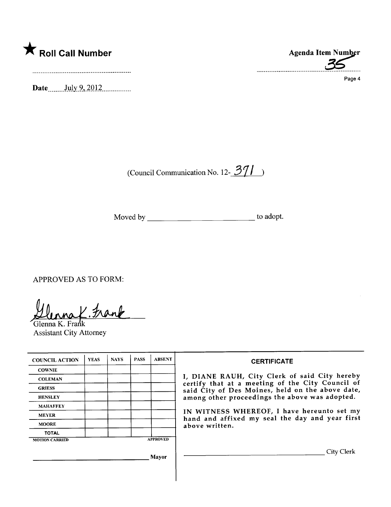

Date  $_{\text{July } 9,2012...}$ 

(Council Communication No. 12- $\frac{371}{ }$ )

Moved by \_\_\_\_\_\_\_\_\_\_\_\_\_\_\_\_\_\_\_\_\_\_\_\_\_\_\_\_\_\_\_\_\_\_ to adopt.

APPROVED AS TO FORM:

Glenna K. Frank

Assistant City Attorney

| <b>COUNCIL ACTION</b> | <b>YEAS</b> | <b>NAYS</b> | <b>PASS</b>     | <b>ABSENT</b> |
|-----------------------|-------------|-------------|-----------------|---------------|
| <b>COWNIE</b>         |             |             |                 |               |
| <b>COLEMAN</b>        |             |             |                 |               |
| <b>GRIESS</b>         |             |             |                 |               |
| <b>HENSLEY</b>        |             |             |                 |               |
| <b>MAHAFFEY</b>       |             |             |                 |               |
| <b>MEYER</b>          |             |             |                 |               |
| <b>MOORE</b>          |             |             |                 |               |
| <b>TOTAL</b>          |             |             |                 |               |
| <b>MOTION CARRIED</b> |             |             | <b>APPROVED</b> |               |

Mayor



Page 4

**CERTIFICATE** 

I, DIANE RAUH, City Clerk of said City hereby certify that at a meeting of the City Council of said City of Des Moines, held on the above date, among other proceedings the above was adopted.

IN WITNESS WHEREOF, I have hereunto set my hand and affixed my seal the day and year first above written.

City Clerk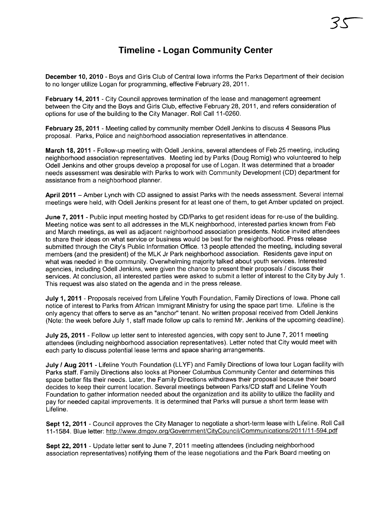# Timeline - Logan Community Center

December 10, 2010 - Boys and Girls Club of Central Iowa informs the Parks Department of their decision to no longer utilize Logan for programming, effective February 28,2011.

February 14, 2011 - City Council approves termination of the lease and management agreement between the City and the Boys and Girls Club, effective February 28, 2011, and refers consideration of options for use of the building to the City Manager. Roll Call 11-0260.

February 25, 2011 - Meeting called by community member Odell Jenkins to discuss 4 Seasons Plus proposal. Parks, Police and neighborhood association representatives in attendance.

March 18, 2011 - Follow-up meeting with Odell Jenkins, several attendees of Feb 25 meeting, including neighborhood association representatives. Meeting led by Parks (Doug Romig) who volunteered to help Odell Jenkins and other groups develop a proposal for use of Logan. It was determined that a broader needs assessment was desirable with Parks to work with Community Development (CD) department for assistance from a neighborhood planner.

April 2011 - Amber Lynch with CD assigned to assist Parks with the needs assessment. Several internal meetings were held, with Odell Jenkins present for at least one of them, to get Amber updated on project.

June 7, 2011 - Public input meeting hosted by CD/Parks to get resident ideas for re-use of the building. Meeting notice was sent to all addresses in the MLK neighborhood, interested parties known from Feb and March meetings, as well as adjacent neighborhood association presidents. Notice invited attendees to share their ideas on what service or business would be best for the neighborhood. Press release submitted through the City's Public Information Office. 13 people attended the meeting, including several members (and the president) of the MLK Jr Park neighborhood association. Residents gave input on what was needed in the community. Overwhelming majority talked about youth services. Interested agencies, including Odell Jenkins, were given the chance to present their proposals / discuss their services. At conclusion, all interested parties were asked to submit a letter of interest to the City by July 1. This request was also stated on the agenda and in the press release.

July 1, 2011 - Proposals received from Lifeline Youth Foundation, Family Directions of Iowa. Phone call notice of interest to Parks from African Immigrant Ministry for using the space part time. Lifeline is the only agency that offers to serve as an "anchor" tenant. No written proposal received from Odell Jenkins (Note: the week before July 1, staff made follow up calls to remind Mr. Jenkins of the upcoming deadline).

July 25, 2011 - Follow up letter sent to interested agencies, with copy sent to June 7, 2011 meeting attendees (including neighborhood association representatives). Letter noted that City would meet with each party to discuss potential lease terms and space sharing arrangements.

July / Aug 2011 - Lifeline Youth Foundation (LLYF) and Family Directions of lowa tour Logan facility with Parks staff. Family Directions also looks at Pioneer Columbus Community Center and determines this space better fits their needs. Later, the Family Directions withdraws their proposal because their board decides to keep their current location. Several meetings between Parks/CD staff and Lifeline Youth Foundation to gather information needed about the organization and its ability to utilize the faciliy and pay for needed capital improvements. It is determined that Parks will pursue a short term lease with Lifeline.

Sept 12, 2011 - Council approves the City Manager to negotiate a short-term lease with Lifeline. Roll Call 11-1584. Blue letter: http://www.dmqov.orq/GovernmentlCitvCouncil/Communications/2011 /11-594.pdf

Sept 22, 2011 - Update letter sent to June 7, 2011 meeting attendees (including neighborhood association representatives) notifying them of the lease negotiations and the Park Board meeting on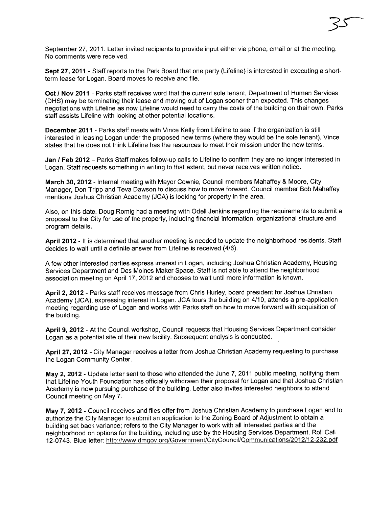September 27, 2011. Letter invited recipients to provide input either via phone, email or at the meeting. No comments were received.

3S-

Sept 27, 2011 - Staff reports to the Park Board that one party (Lifeline) is interested in executing a shortterm lease for Logan. Board moves to receive and file.

Oct / Nov 2011 - Parks staff receives word that the current sole tenant, Department of Human Services (DHS) may be terminating their lease and moving out of Logan sooner than expected. This changes negotiations with Lifeline as now Lifeline would need to carry the costs of the building on their own. Parks staff assists Lifeline with looking at other potential locations.

December 2011 - Parks staff meets with Vince Kelly from Lifeline to see if the organization is still interested in leasing Logan under the proposed new terms (where they would be the sole tenant). Vince states that he does not think Lifeline has the resources to meet their mission under the new terms.

Jan / Feb 2012 - Parks Staff makes follow-up calls to Lifeline to confirm they are no longer interested in Logan. Staff requests something in writing to that extent, but never receives written notice.

March 30, 2012 - Internal meeting with Mayor Cownie, Council members Mahaffey & Moore, City Manager, Don Tripp and Teva Dawson to discuss how to move forward. Council member Bob Mahaffey mentions Joshua Christian Academy (JCA) is looking for property in the area.

Also, on this date, Doug Romig had a meeting with Odell Jenkins regarding the requirements to submit a proposal to the City for use of the property, including financial information, organizational structure and program details.

April 2012 - It is determined that another meeting is needed to update the neighborhood residents. Staff decides to wait until a definite answer from Lifeline is received (4/6).

A few other interested parties express interest in Logan, including Joshua Christian Academy, Housing Services Department and Des Moines Maker Space. Staff is not able to attend the neighborhood association meeting on April 17, 2012 and chooses to wait until more information is known.

April 2, 2012 - Parks staff receives message from Chris Hurley, board president for Joshua Christian Academy (JCA), expressing interest in Logan. JCA tours the building on 4/10, attends a pre-application meeting regarding use of Logan and works with Parks staff on how to move forward with acquisition of the building.

April 9, 2012 - At the Council workshop, Council requests that Housing Services Department consider Logan as a potential site of their new facility. Subsequent analysis is conducted.

April 27, 2012 - City Manager receives a letter from Joshua Christian Academy requesting to purchase the Logan Community Center.

May 2, 2012 - Update letter sent to those who attended the June 7, 2011 public meeting, notifying them that Lifeline Youth Foundation has officially withdrawn their proposal for Logan and that Joshua Christian Academy is now pursuing purchase of the building. Letter also invites interested neighbors to attend Council meeting on May 7.

May 7, 2012 - Council receives and files offer from Joshua Christian Academy to purchase Logan and to authorize the City Manager to submit an application to the Zoning Board of Adjustment to obtain a building set back variance; refers to the City Manager to work with all interested parties and the neighborhood on options for the building, including use by the Housing Services Department. Roll Call 12-0743. Blue letter: http://www.dmqov.orq/Government/CitvCouncil/Communications/2012/12-232.pdf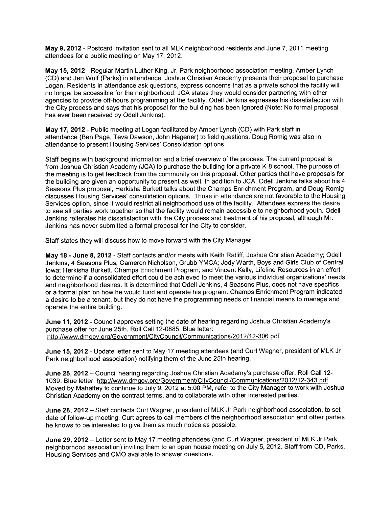May 9,2012 - Postcard invitation sent to all MLK neighborhood residents and June 7,2011 meeting attendees for a public meeting on May 17, 2012.

May 15,2012 - Regular Martin Luther King, Jr. Park neighborhood association meeting. Amber Lynch (CD) and Jen Wulf (Parks) in attendance. Joshua Christian Academy presents their proposal to purchase Logan. Residents in attendance ask questions, express concerns that as a private school the facility will no longer be accessible for the neighborhood. JCA states they would consider partnering with other agencies to provide off-hours programming at the facility. Odell Jenkins expresses his dissatisfaction with the City process and says that his proposal for the building has been ignored (Note: No formal proposal has ever been received by Odell Jenkins).

May 17,2012 - Public meeting at Logan facilitated by Amber Lynch (CD) with Park staff in attendance (Ben Page, Teva Dawson, John Hagener) to field questions. Doug Romig was also in attendance to present Housing Services' Consolidation options.

Staff begins with background information and a brief overview of the process. The current proposal is from Joshua Christian Academy (JCA) to purchase the building for a private K-8 school. The purpose of the meeting is to get feedback from the community on this proposal. Other parties that have proposals for the building are given an opportunity to present as well. In addition to JCA, Odell Jenkins talks about his 4 Seasons Plus proposal, Herkisha Burkett talks about the Champs Enrichment Program, and Doug Romig discusses Housing Services' consolidation options. Those in attendance are not favorable to the Housing Services option, since it would restrict all neighborhood use of the facility. Attendees express the desire to see all parties work together so that the facility would remain accessible to neighborhood youth. Odell Jenkins reiterates his dissatisfaction with the City process and treatment of his proposal, although Mr. Jenkins has never submitted a formal proposal for the City to consider.

Staff states they will discuss how to move forward with the City Manager.

May 18 - June 8, 2012 - Staff contacts and/or meets with Keith Ratliff, Joshua Christian Academy; Odell Jenkins, 4 Seasons Plus; Cameron Nicholson, Grubb YMCA; Jody Warth, Boys and Girls Club of Central Iowa; Herkisha Burkett, Champs Enrichment Program; and Vincent Kelly, Lifeline Resources in an effort to determine if a consolidated effort could be achieved to meet the various individual organizations' needs and neighborhood desires. It is determined that Odell Jenkins, 4 Seasons Plus, does not have specifics or a formal plan on how he would fund and operate his program. Champs Enrichment Program indicated a desire to be a tenant, but they do not have the programming needs or financial means to manage and operate the entire building.

June 11, 2012 - Council approves setting the date of hearing regarding Joshua Christian Academy's purchase offer for June 25th. Roll Call 12-0885. Blue letter: http://www.dmgov.org/Government/CityCouncil/Communications/2012/12-306.pdf

June 15, 2012 - Update letter sent to May 17 meeting attendees (and Curt Wagner, president of MLK Jr Park neighborhood association) notifying them of the June 25th hearing.

June 25, 2012 - Council hearing regarding Joshua Christian Academy's purchase offer. Roll Call 12-1039. Blue letter: http://www.dmgov.org/Government/CityCouncil/Communications/2012/12-343.pdf. Moved by Mahaffey to continue to July 9,2012 at 5:00 PM; refer to the City Manager to work with Joshua Christian Academy on the contract terms, and to collaborate with other interested parties.

June 28, 2012 - Staff contacts Curt Wagner, president of MLK Jr Park neighborhood association, to set date of follow-up meeting. Curt agrees to call members of the neighborhood association and other parties he knows to be interested to give them as much notice as possible.

June 29, 2012 - Letter sent to May 17 meeting attendees (and Curt Wagner, president of MLK Jr Park neighborhood association) inviting them to an open house meeting on July 5, 2012. Staff from CD, Parks, Housing Services and CMO available to answer questions.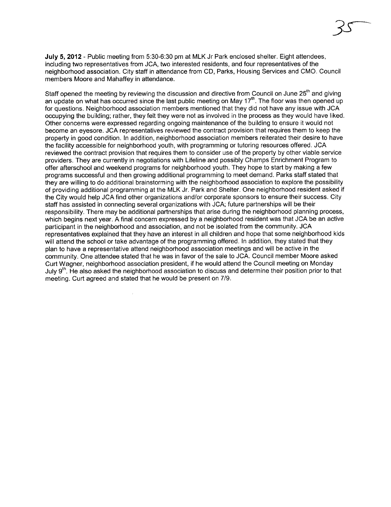July 5,2012 - Public meeting from 5:30-6:30 pm at MLK Jr Park enclosed shelter. Eight attendees, including two representatives from JCA, two interested residents, and four representatives of the neighborhood association. City staff in attendance from CD, Parks, Housing Services and CMO. Council members Moore and Mahaffey in attendance.

Staff opened the meeting by reviewing the discussion and directive from Council on June 25<sup>th</sup> and giving an update on what has occurred since the last public meeting on May 17<sup>th</sup>. The floor was then opened up for questions. Neighborhood association members mentioned that they did not have any issue with JCA occupying the building; rather, they felt they were not as involved in the process as they would have liked. Other concerns were expressed regarding ongoing maintenance of the building to ensure it would not become an eyesore. JCA representatives reviewed the contract provision that requires them to keep the property in good condition. In addition, neighborhood association members reiterated their desire to have the facility accessible for neighborhood youth, with programming or tutoring resources offered. JCA reviewed the contract provision that requires them to consider use of the property by other viable service providers. They are currently in negotiations with Lifeline and possibly Champs Enrichment Program to offer afterschool and weekend programs for neighborhood youth. They hope to start by making a few programs successful and then growing additional programming to meet demand. Parks staff stated that they are willing to do additional brainstorming with the neighborhood association to explore the possibility of providing additional programming at the MLK Jr. Park and Shelter. One neighborhood resident asked if the City would help JCA find other organizations and/or corporate sponsors to ensure their success. City staff has assisted in connecting several organizations with JCA; future partnerships will be their responsibility. There may be additional partnerships that arise during the neighborhood planning process, which begins next year. A final concern expressed by a neighborhood resident was that JCA be an active participant in the neighborhood and association, and not be isolated from the community. JCA representatives explained that they have an interest in all children and hope that some neighborhood kids will attend the school or take advantage of the programming offered. In addition, they stated that they plan to have a representative attend neighborhood association meetings and will be active in the community. One attendee stated that he was in favor of the sale to JCA. Council member Moore asked Curt Wagner, neighborhood association president, if he would attend the Council meeting on Monday July 9<sup>th</sup>. He also asked the neighborhood association to discuss and determine their position prior to that meeting. Curt agreed and stated that he would be present on 7/9.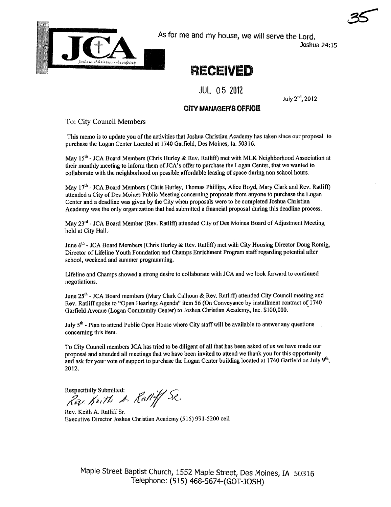

As for me and my house, we will serve the Lord.

Joshua 24: 15

35

# RECEIVED

# JUL 05 2012

July 2nd, 2012

### **CITY MANAGER'S OFFICE**

To: City Council Members

This memo is to update you of the activities that Joshua Christian Academy has taken since our proposal to purchase the Logan Center Located at 1740 Garfield, Des Moines, Ia. 50316.

May 15<sup>th</sup> - JCA Board Members (Chris Hurley & Rev. Ratliff) met with MLK Neighborhood Association at their monthly meeting to inform them of JCA's óffer to purchase the Logan Center, that we wanted to collaborate with the neighborhood on possible affordable leasing of space during non school hours.

May 17<sup>th</sup> - JCA Board Members ( Chris Hurley, Thomas Phillips, Alice Boyd, Mary Clark and Rev. Ratliff) attended a City of Des Moines Public Meeting concerning proposals from anyone to purchase the Logan Center and a deadline was given by the City when proposals were to be completed Joshua Christian Academy was the only organization that had submitted a financial proposal during this deadline process.

May 23<sup>rd</sup> - JCA Board Member (Rev. Ratliff) attended City of Des Moines Board of Adjustment Meeting held at City HalL.

June  $6<sup>th</sup>$  - JCA Board Members (Chris Hurley & Rev. Ratliff) met with City Housing Director Doug Romig, Director of Lifeline Youth Foundation and Champs Enrichment Program staff regarding potential after school, weekend and summer programming.

Lifeline and Champs showed a strong desire to collaborate with JCA and we look forward to continued negotiations.

June 25<sup>th</sup> - JCA Board members (Mary Clark Calhoun & Rev. Ratliff) attended City Council meeting and Rev. Ratliff spoke to "Open Hearings Agenda" item 56 (On Conveyance by installment contract of 1740 Garfield Avenue (Logan Community Center) to Joshua Christian Academy, Inc. \$100,000.

July 5<sup>th</sup> - Plan to attend Public Open House where City staff will be available to answer any questions concerning this item.

To City Council members JCA has tried to bedilgent of all that has been asked of us we have made our proposal and attended all meetings that we have been invited to attend we thank you for this opportnity and ask for your vote of support to purchase the Logan Center building located at 1740 Garfield on July 9th, 2012.

Respectfully Submitted:  $\mathcal{I}$  $\mathcal{R}\mathcal{W}$  . It is the  $\mathcal{A}$  . Ratiff  $\mathcal{W}$ 

Rev. Keith A. Ratliff Sr. Executive Director Joshua Christian Academy (515) 991-5200 cell

Maple Street Baptist Church, 1552 Maple Street, Des Moines, IA 50316 Telephone: (515) 468-5674-(GOT-JOSH)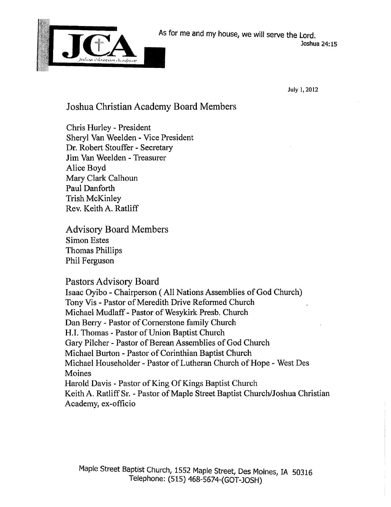

July i, 2012

# Joshua Christian Academy Board Members

Chris Hurley - President Sheryl Van Weelden - Vice President Dr. Robert Stouffer - Secretary Jim Van Weelden - Treasurer Alice Boyd Mary Clark Calhoun Paul Danforth Trish McKinley Rev. Keith A. Ratliff

Advisory Board Members Simon Estes Thomas Philips Phil Ferguson

## Pastors Advisory Board

Isaac Oyibo - Chairperson (All Nations Assemblies of God Church) Tony Vis - Pastor of Meredith Drive Reformed Church Michael Mudlaff - Pastor of Wesykirk Presb. Church Dan Berry - Pastor of Cornerstone family Church H.I. Thomas - Pastor of Union Baptist Church Gary Pilcher - Pastor of Berean Assemblies of God Church Michael Burton - Pastor of Corinthian Baptist Church Michael Householder - Pastor of Lutheran Church of Hope - West Des Moines Harold Davis - Pastor of King Of Kings Baptist Church Keith A. Ratlff Sr. - Pastor of Maple Street Baptist Church/Joshua Christian Academy, ex-officio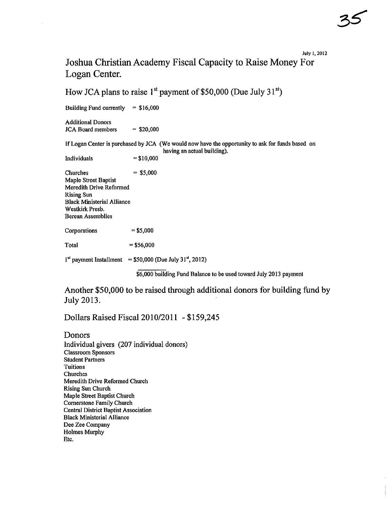#### July 1,2012

# Joshua Christian Academy Fiscal Capacity to Raise Money For Logan Center.

How JCA plans to raise  $1<sup>st</sup>$  payment of \$50,000 (Due July 31 $<sup>st</sup>$ )</sup>

Building Fund currently  $= $16,000$ 

Additional Donors  $JCA$  Board members  $= $20,000$ 

If Logan Center is purchased by JCA (We would now have the opportunity to ask for funds based on having an actual building).

Individuals  $= $10,000$ 

 $Churches =  $$5,000$$ Maple Street Baptist Meredith Drive Reformed Rising Sun **Black Ministerial Alliance** Westkirk Presb. Berean Assemblies

 $Corporations = $5,000$ 

 $Total = $56,000$ 

 $1<sup>st</sup>$  payment Installment = \$50,000 (Due July 3 $1<sup>st</sup>$ , 2012)

\$6,000 building Fund Balance to be used toward July 2013 payment

Another \$50,000 to be raised through additional donors for building fund by July 2013.

Dollars Raised Fiscal 2010/2011 - \$159,245

Donors Individual givers (207 individual donors) Classroom Sponsors Student Partners Tuitions Churches Meredith Drive Reformed Church Rising Sun Church Maple Street Baptist Church Cornerstone Family Church Central District Baptist Association Black Ministerial Allance Dee Zee Company Holmes Murphy Etc.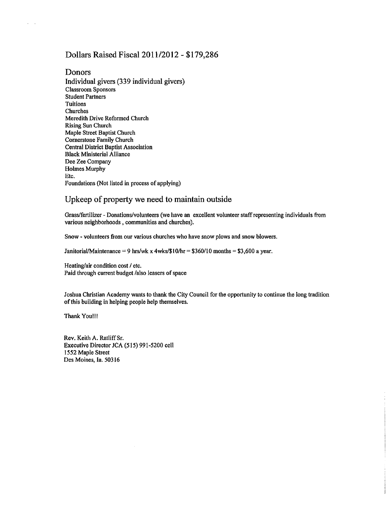### Dollars Raised Fisca12011/2012 - \$179,286

### Donors

 $\mathcal{L}^{\mathcal{L}}$  $\mathbb{R}^2$ 

> Individual givers (339 individual givers) Classroom Sponsors **Student Partners** Tuitions Churches Meredith Drive Reformed Church Rising Sun Church Maple Street Baptist Church Cornerstone Family Church Central District Baptist Association Black Ministerial Allance Dee Zee Company Holmes Murphy Etc. Foundations (Not listed in process of applying)

### Upkeep of property we need to maintain outside

Grass/fertilizer - Donations/volunteers (we have an excellent volunteer staff representing individuals from various neighborhoods, communities and churches).

Snow - volunteers from our various churches who have snow plows and snow blowers.

Janitorial/Maintenance = 9 hrs/wk x 4wks/ $$10/hr = $360/10$  months = \$3,600 a year.

Heating/air condition cost / etc. Paid through current budget /also leasers of space

Joshua Christian Academy wants to thank the City Council for the opportunity to continue the long tradition of this building in helping people help themselves.

Thank Youl!!

Rev. Keith A. Ratliff Sr. Executive Director JCA (515) 991-5200 cell 1552 Maple Street Des Moines, la. 50316